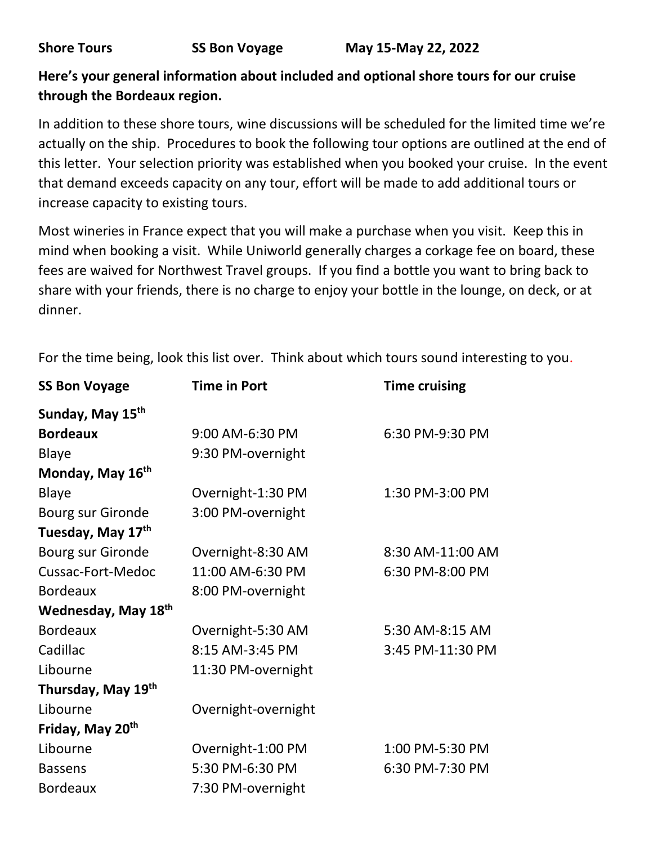### **Here's your general information about included and optional shore tours for our cruise through the Bordeaux region.**

In addition to these shore tours, wine discussions will be scheduled for the limited time we're actually on the ship. Procedures to book the following tour options are outlined at the end of this letter. Your selection priority was established when you booked your cruise. In the event that demand exceeds capacity on any tour, effort will be made to add additional tours or increase capacity to existing tours.

Most wineries in France expect that you will make a purchase when you visit. Keep this in mind when booking a visit. While Uniworld generally charges a corkage fee on board, these fees are waived for Northwest Travel groups. If you find a bottle you want to bring back to share with your friends, there is no charge to enjoy your bottle in the lounge, on deck, or at dinner.

| <b>SS Bon Voyage</b>         | <b>Time in Port</b> | <b>Time cruising</b> |
|------------------------------|---------------------|----------------------|
| Sunday, May 15 <sup>th</sup> |                     |                      |
| <b>Bordeaux</b>              | 9:00 AM-6:30 PM     | 6:30 PM-9:30 PM      |
| <b>Blaye</b>                 | 9:30 PM-overnight   |                      |
| Monday, May 16 <sup>th</sup> |                     |                      |
| <b>Blaye</b>                 | Overnight-1:30 PM   | 1:30 PM-3:00 PM      |
| <b>Bourg sur Gironde</b>     | 3:00 PM-overnight   |                      |
| Tuesday, May 17th            |                     |                      |
| Bourg sur Gironde            | Overnight-8:30 AM   | 8:30 AM-11:00 AM     |
| Cussac-Fort-Medoc            | 11:00 AM-6:30 PM    | 6:30 PM-8:00 PM      |
| <b>Bordeaux</b>              | 8:00 PM-overnight   |                      |
| Wednesday, May 18th          |                     |                      |
| <b>Bordeaux</b>              | Overnight-5:30 AM   | 5:30 AM-8:15 AM      |
| Cadillac                     | 8:15 AM-3:45 PM     | 3:45 PM-11:30 PM     |
| Libourne                     | 11:30 PM-overnight  |                      |
| Thursday, May 19th           |                     |                      |
| Libourne                     | Overnight-overnight |                      |
| Friday, May 20 <sup>th</sup> |                     |                      |
| Libourne                     | Overnight-1:00 PM   | 1:00 PM-5:30 PM      |
| <b>Bassens</b>               | 5:30 PM-6:30 PM     | 6:30 PM-7:30 PM      |
| <b>Bordeaux</b>              | 7:30 PM-overnight   |                      |

For the time being, look this list over. Think about which tours sound interesting to you.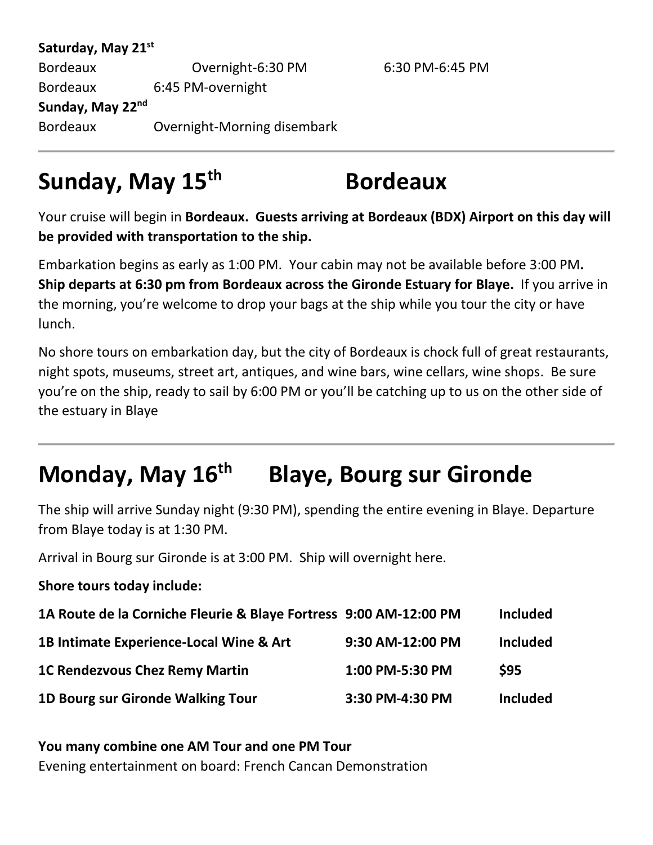| Saturday, May 21 <sup>st</sup> |                             |                 |
|--------------------------------|-----------------------------|-----------------|
| <b>Bordeaux</b>                | Overnight-6:30 PM           | 6:30 PM-6:45 PM |
| <b>Bordeaux</b>                | 6:45 PM-overnight           |                 |
| Sunday, May 22nd               |                             |                 |
| <b>Bordeaux</b>                | Overnight-Morning disembark |                 |

# **Sunday, May 15th Bordeaux**

Your cruise will begin in **Bordeaux. Guests arriving at Bordeaux (BDX) Airport on this day will be provided with transportation to the ship.** 

Embarkation begins as early as 1:00 PM. Your cabin may not be available before 3:00 PM**. Ship departs at 6:30 pm from Bordeaux across the Gironde Estuary for Blaye.** If you arrive in the morning, you're welcome to drop your bags at the ship while you tour the city or have lunch.

No shore tours on embarkation day, but the city of Bordeaux is chock full of great restaurants, night spots, museums, street art, antiques, and wine bars, wine cellars, wine shops. Be sure you're on the ship, ready to sail by 6:00 PM or you'll be catching up to us on the other side of the estuary in Blaye

# **Monday, May 16th Blaye, Bourg sur Gironde**

The ship will arrive Sunday night (9:30 PM), spending the entire evening in Blaye. Departure from Blaye today is at 1:30 PM.

Arrival in Bourg sur Gironde is at 3:00 PM. Ship will overnight here.

**Shore tours today include:**

| 1A Route de la Corniche Fleurie & Blaye Fortress 9:00 AM-12:00 PM |                  | <b>Included</b> |
|-------------------------------------------------------------------|------------------|-----------------|
| 1B Intimate Experience-Local Wine & Art                           | 9:30 AM-12:00 PM | <b>Included</b> |
| <b>1C Rendezvous Chez Remy Martin</b>                             | 1:00 PM-5:30 PM  | <b>\$95</b>     |
| 1D Bourg sur Gironde Walking Tour                                 | 3:30 PM-4:30 PM  | <b>Included</b> |

**You many combine one AM Tour and one PM Tour** Evening entertainment on board: French Cancan Demonstration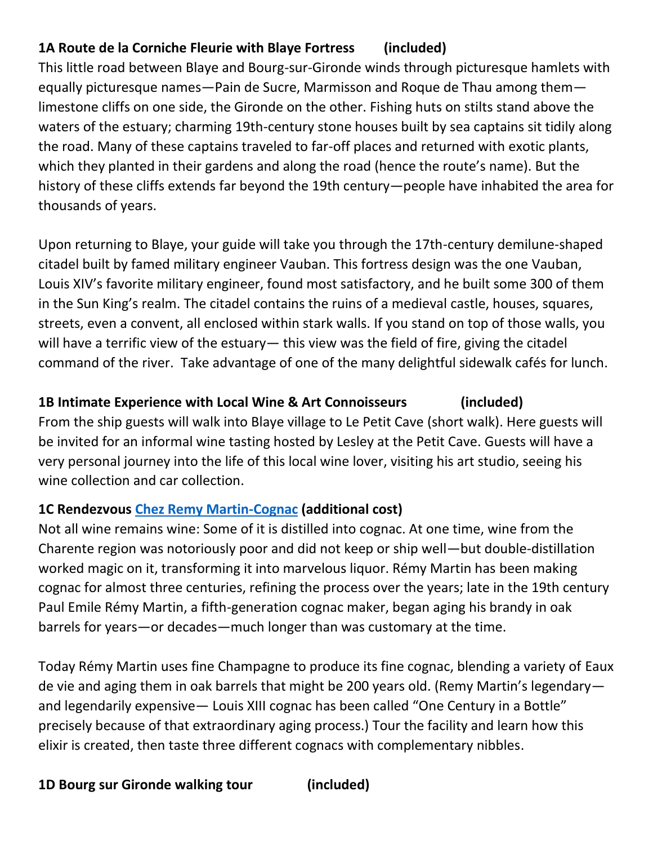## **1A Route de la Corniche Fleurie with Blaye Fortress (included)**

This little road between Blaye and Bourg-sur-Gironde winds through picturesque hamlets with equally picturesque names—Pain de Sucre, Marmisson and Roque de Thau among them limestone cliffs on one side, the Gironde on the other. Fishing huts on stilts stand above the waters of the estuary; charming 19th-century stone houses built by sea captains sit tidily along the road. Many of these captains traveled to far-off places and returned with exotic plants, which they planted in their gardens and along the road (hence the route's name). But the history of these cliffs extends far beyond the 19th century—people have inhabited the area for thousands of years.

Upon returning to Blaye, your guide will take you through the 17th-century demilune-shaped citadel built by famed military engineer Vauban. This fortress design was the one Vauban, Louis XIV's favorite military engineer, found most satisfactory, and he built some 300 of them in the Sun King's realm. The citadel contains the ruins of a medieval castle, houses, squares, streets, even a convent, all enclosed within stark walls. If you stand on top of those walls, you will have a terrific view of the estuary— this view was the field of fire, giving the citadel command of the river. Take advantage of one of the many delightful sidewalk cafés for lunch.

### **1B Intimate Experience with Local Wine & Art Connoisseurs (included)**

From the ship guests will walk into Blaye village to Le Petit Cave (short walk). Here guests will be invited for an informal wine tasting hosted by Lesley at the Petit Cave. Guests will have a very personal journey into the life of this local wine lover, visiting his art studio, seeing his wine collection and car collection.

### **1C Rendezvous [Chez Remy Martin-Cognac](https://www.remymartin.com/en-us) (additional cost)**

Not all wine remains wine: Some of it is distilled into cognac. At one time, wine from the Charente region was notoriously poor and did not keep or ship well—but double-distillation worked magic on it, transforming it into marvelous liquor. Rémy Martin has been making cognac for almost three centuries, refining the process over the years; late in the 19th century Paul Emile Rémy Martin, a fifth-generation cognac maker, began aging his brandy in oak barrels for years—or decades—much longer than was customary at the time.

Today Rémy Martin uses fine Champagne to produce its fine cognac, blending a variety of Eaux de vie and aging them in oak barrels that might be 200 years old. (Remy Martin's legendary and legendarily expensive— Louis XIII cognac has been called "One Century in a Bottle" precisely because of that extraordinary aging process.) Tour the facility and learn how this elixir is created, then taste three different cognacs with complementary nibbles.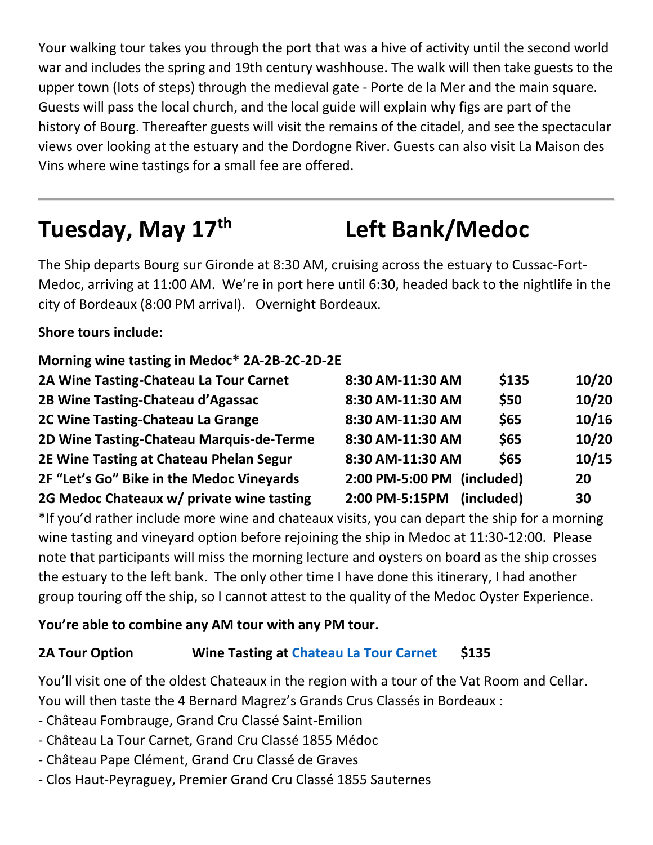Your walking tour takes you through the port that was a hive of activity until the second world war and includes the spring and 19th century washhouse. The walk will then take guests to the upper town (lots of steps) through the medieval gate - Porte de la Mer and the main square. Guests will pass the local church, and the local guide will explain why figs are part of the history of Bourg. Thereafter guests will visit the remains of the citadel, and see the spectacular views over looking at the estuary and the Dordogne River. Guests can also visit La Maison des Vins where wine tastings for a small fee are offered.

# **Tuesday, May 17th Left Bank/Medoc**

The Ship departs Bourg sur Gironde at 8:30 AM, cruising across the estuary to Cussac-Fort-Medoc, arriving at 11:00 AM. We're in port here until 6:30, headed back to the nightlife in the city of Bordeaux (8:00 PM arrival). Overnight Bordeaux.

### **Shore tours include:**

| Morning wine tasting in Medoc* 2A-2B-2C-2D-2E |                  |            |       |
|-----------------------------------------------|------------------|------------|-------|
| 2A Wine Tasting-Chateau La Tour Carnet        | 8:30 AM-11:30 AM | \$135      | 10/20 |
| 2B Wine Tasting-Chateau d'Agassac             | 8:30 AM-11:30 AM | \$50       | 10/20 |
| 2C Wine Tasting-Chateau La Grange             | 8:30 AM-11:30 AM | \$65       | 10/16 |
| 2D Wine Tasting-Chateau Marquis-de-Terme      | 8:30 AM-11:30 AM | \$65       | 10/20 |
| 2E Wine Tasting at Chateau Phelan Segur       | 8:30 AM-11:30 AM | \$65       | 10/15 |
| 2F "Let's Go" Bike in the Medoc Vineyards     | 2:00 PM-5:00 PM  | (included) | 20    |
| 2G Medoc Chateaux w/ private wine tasting     | 2:00 PM-5:15PM   | (included) | 30    |

\*If you'd rather include more wine and chateaux visits, you can depart the ship for a morning wine tasting and vineyard option before rejoining the ship in Medoc at 11:30-12:00. Please note that participants will miss the morning lecture and oysters on board as the ship crosses the estuary to the left bank. The only other time I have done this itinerary, I had another group touring off the ship, so I cannot attest to the quality of the Medoc Oyster Experience.

### **You're able to combine any AM tour with any PM tour.**

## **2A Tour Option Wine Tasting at [Chateau La Tour Carnet](https://bernard-magrez.com/en/chateau-la-tour-carnet-grand/) \$135**

You'll visit one of the oldest Chateaux in the region with a tour of the Vat Room and Cellar. You will then taste the 4 Bernard Magrez's Grands Crus Classés in Bordeaux :

- Château Fombrauge, Grand Cru Classé Saint-Emilion
- Château La Tour Carnet, Grand Cru Classé 1855 Médoc
- Château Pape Clément, Grand Cru Classé de Graves
- Clos Haut-Peyraguey, Premier Grand Cru Classé 1855 Sauternes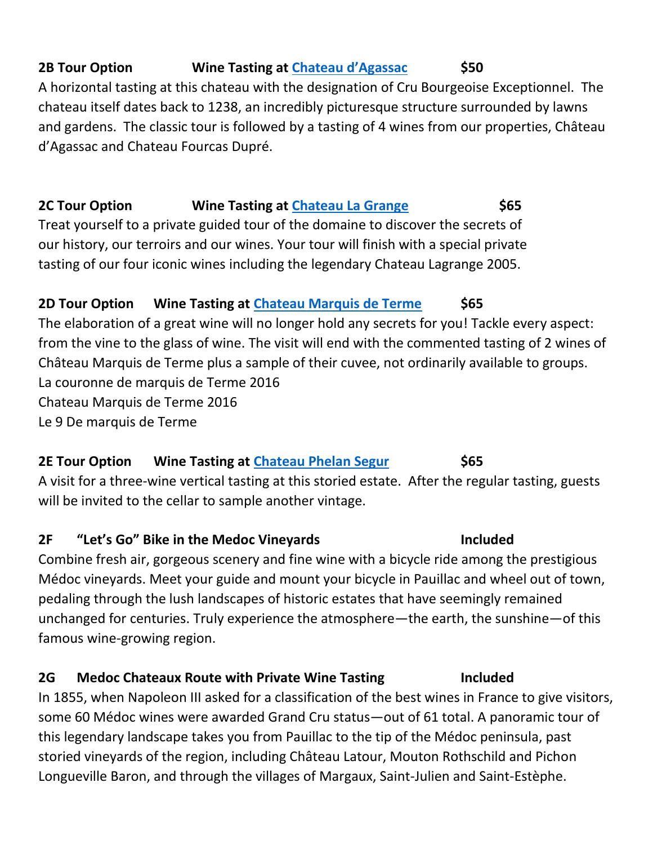## **2B Tour Option Wine Tasting at [Chateau d'Agassac](https://www.agassac.com/) \$50**

A horizontal tasting at this chateau with the designation of Cru Bourgeoise Exceptionnel. The chateau itself dates back to 1238, an incredibly picturesque structure surrounded by lawns and gardens. The classic tour is followed by a tasting of 4 wines from our properties, Château d'Agassac and Chateau Fourcas Dupré.

# **2C Tour Option Wine Tasting at [Chateau La Grange](https://chateau-lagrange.com/) \$65**

Treat yourself to a private guided tour of the domaine to discover the secrets of our history, our terroirs and our wines. Your tour will finish with a special private tasting of our four iconic wines including the legendary Chateau Lagrange 2005.

## **2D Tour Option Wine Tasting at [Chateau Marquis de Terme](https://chateau-marquis-de-terme.com/?lang=en) \$65**

The elaboration of a great wine will no longer hold any secrets for you! Tackle every aspect: from the vine to the glass of wine. The visit will end with the commented tasting of 2 wines of Château Marquis de Terme plus a sample of their cuvee, not ordinarily available to groups. La couronne de marquis de Terme 2016 Chateau Marquis de Terme 2016 Le 9 De marquis de Terme

## **2E Tour Option Wine Tasting at [Chateau Phelan Segur](https://www.phelansegur.com/en/receptions/) \$65**

A visit for a three-wine vertical tasting at this storied estate. After the regular tasting, guests will be invited to the cellar to sample another vintage.

### **2F "Let's Go" Bike in the Medoc Vineyards Included**

Combine fresh air, gorgeous scenery and fine wine with a bicycle ride among the prestigious Médoc vineyards. Meet your guide and mount your bicycle in Pauillac and wheel out of town, pedaling through the lush landscapes of historic estates that have seemingly remained unchanged for centuries. Truly experience the atmosphere—the earth, the sunshine—of this famous wine-growing region.

## **2G Medoc Chateaux Route with Private Wine Tasting Included**

In 1855, when Napoleon III asked for a classification of the best wines in France to give visitors, some 60 Médoc wines were awarded Grand Cru status—out of 61 total. A panoramic tour of this legendary landscape takes you from Pauillac to the tip of the Médoc peninsula, past storied vineyards of the region, including Château Latour, Mouton Rothschild and Pichon Longueville Baron, and through the villages of Margaux, Saint-Julien and Saint-Estèphe.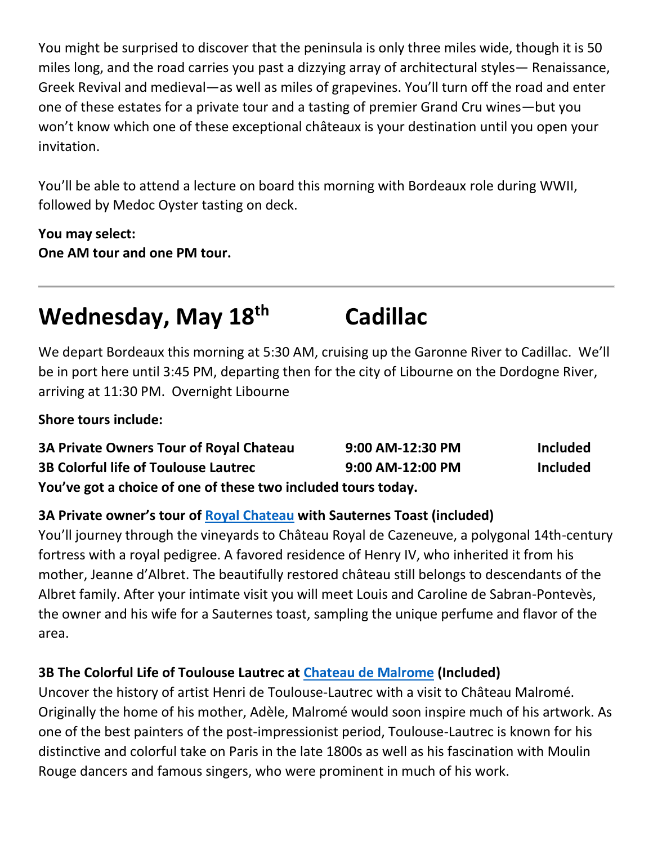You might be surprised to discover that the peninsula is only three miles wide, though it is 50 miles long, and the road carries you past a dizzying array of architectural styles— Renaissance, Greek Revival and medieval—as well as miles of grapevines. You'll turn off the road and enter one of these estates for a private tour and a tasting of premier Grand Cru wines—but you won't know which one of these exceptional châteaux is your destination until you open your invitation.

You'll be able to attend a lecture on board this morning with Bordeaux role during WWII, followed by Medoc Oyster tasting on deck.

### **You may select: One AM tour and one PM tour.**

# **Wednesday, May 18th Cadillac**

We depart Bordeaux this morning at 5:30 AM, cruising up the Garonne River to Cadillac. We'll be in port here until 3:45 PM, departing then for the city of Libourne on the Dordogne River, arriving at 11:30 PM. Overnight Libourne

**Shore tours include:**

| <b>3A Private Owners Tour of Royal Chateau</b>                | 9:00 AM-12:30 PM | <b>Included</b> |
|---------------------------------------------------------------|------------------|-----------------|
| <b>3B Colorful life of Toulouse Lautrec</b>                   | 9:00 AM-12:00 PM | <b>Included</b> |
| You've got a choice of one of these two included tours today. |                  |                 |

### **3A Private owner's tour of [Royal Chateau](http://www.chateaudecazeneuve.com/) with Sauternes Toast (included)**

You'll journey through the vineyards to Château Royal de Cazeneuve, a polygonal 14th-century fortress with a royal pedigree. A favored residence of Henry IV, who inherited it from his mother, Jeanne d'Albret. The beautifully restored château still belongs to descendants of the Albret family. After your intimate visit you will meet Louis and Caroline de Sabran-Pontevès, the owner and his wife for a Sauternes toast, sampling the unique perfume and flavor of the area.

### **3B The Colorful Life of Toulouse Lautrec at [Chateau de Malrome](https://www.malrome.com/en/) (Included)**

Uncover the history of artist Henri de Toulouse-Lautrec with a visit to Château Malromé. Originally the home of his mother, Adèle, Malromé would soon inspire much of his artwork. As one of the best painters of the post-impressionist period, Toulouse-Lautrec is known for his distinctive and colorful take on Paris in the late 1800s as well as his fascination with Moulin Rouge dancers and famous singers, who were prominent in much of his work.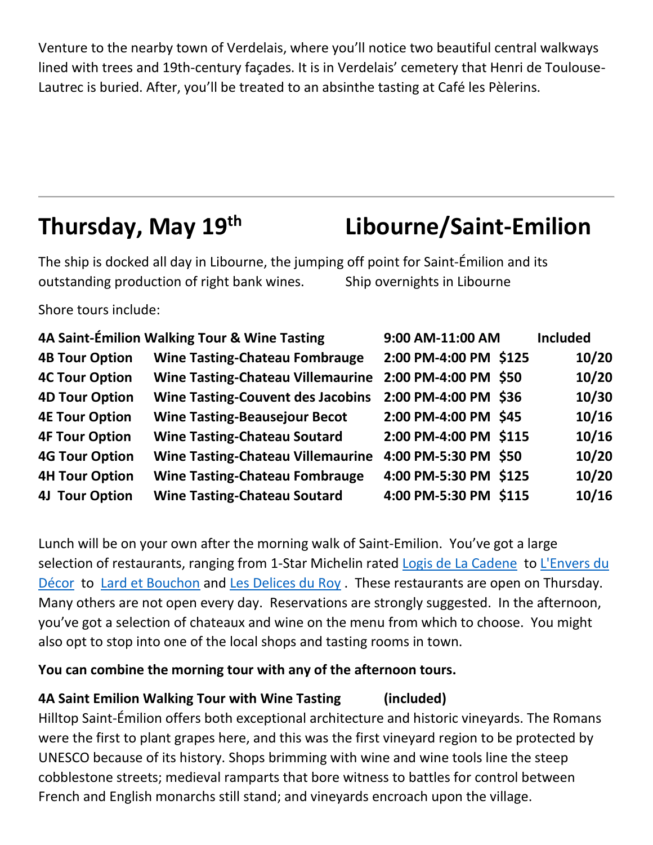Venture to the nearby town of Verdelais, where you'll notice two beautiful central walkways lined with trees and 19th-century façades. It is in Verdelais' cemetery that Henri de Toulouse-Lautrec is buried. After, you'll be treated to an absinthe tasting at Café les Pèlerins.

# **Thursday, May 19th Libourne/Saint-Emilion**

The ship is docked all day in Libourne, the jumping off point for Saint-Émilion and its outstanding production of right bank wines. Ship overnights in Libourne

Shore tours include:

|                       | 4A Saint-Émilion Walking Tour & Wine Tasting | 9:00 AM-11:00 AM      | <b>Included</b> |
|-----------------------|----------------------------------------------|-----------------------|-----------------|
| <b>4B Tour Option</b> | <b>Wine Tasting-Chateau Fombrauge</b>        | 2:00 PM-4:00 PM \$125 | 10/20           |
| <b>4C Tour Option</b> | <b>Wine Tasting-Chateau Villemaurine</b>     | 2:00 PM-4:00 PM \$50  | 10/20           |
| <b>4D Tour Option</b> | <b>Wine Tasting-Couvent des Jacobins</b>     | 2:00 PM-4:00 PM \$36  | 10/30           |
| <b>4E Tour Option</b> | <b>Wine Tasting-Beausejour Becot</b>         | 2:00 PM-4:00 PM \$45  | 10/16           |
| <b>4F Tour Option</b> | <b>Wine Tasting-Chateau Soutard</b>          | 2:00 PM-4:00 PM \$115 | 10/16           |
| <b>4G Tour Option</b> | <b>Wine Tasting-Chateau Villemaurine</b>     | 4:00 PM-5:30 PM \$50  | 10/20           |
| <b>4H Tour Option</b> | <b>Wine Tasting-Chateau Fombrauge</b>        | 4:00 PM-5:30 PM \$125 | 10/20           |
| <b>4J Tour Option</b> | <b>Wine Tasting-Chateau Soutard</b>          | 4:00 PM-5:30 PM \$115 | 10/16           |

Lunch will be on your own after the morning walk of Saint-Emilion. You've got a large selection of restaurants, ranging from 1-Star Michelin rated [Logis de La Cadene](https://www.logisdelacadene.fr/) to [L'Envers du](https://www.envers-dudecor.com/)  [Décor](https://www.envers-dudecor.com/) to [Lard et Bouchon](https://www.lardetbouchon.fr/) and [Les Delices du Roy](https://www.lesdelicesduroy.fr/) . These restaurants are open on Thursday. Many others are not open every day. Reservations are strongly suggested. In the afternoon, you've got a selection of chateaux and wine on the menu from which to choose. You might also opt to stop into one of the local shops and tasting rooms in town.

### **You can combine the morning tour with any of the afternoon tours.**

### **4A Saint Emilion Walking Tour with Wine Tasting (included)**

Hilltop Saint-Émilion offers both exceptional architecture and historic vineyards. The Romans were the first to plant grapes here, and this was the first vineyard region to be protected by UNESCO because of its history. Shops brimming with wine and wine tools line the steep cobblestone streets; medieval ramparts that bore witness to battles for control between French and English monarchs still stand; and vineyards encroach upon the village.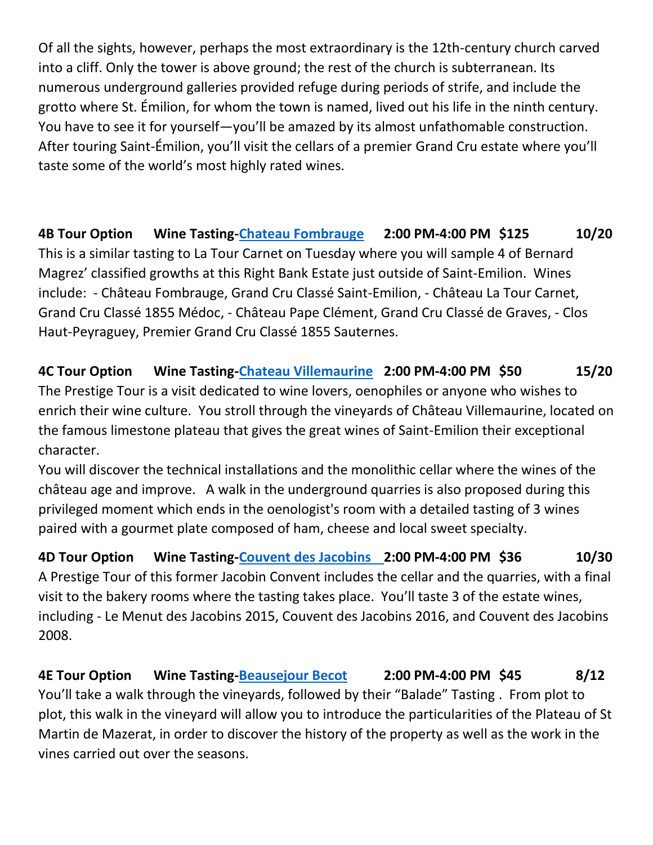Of all the sights, however, perhaps the most extraordinary is the 12th-century church carved into a cliff. Only the tower is above ground; the rest of the church is subterranean. Its numerous underground galleries provided refuge during periods of strife, and include the grotto where St. Émilion, for whom the town is named, lived out his life in the ninth century. You have to see it for yourself—you'll be amazed by its almost unfathomable construction. After touring Saint-Émilion, you'll visit the cellars of a premier Grand Cru estate where you'll taste some of the world's most highly rated wines.

**4B Tour Option Wine Tasting[-Chateau Fombrauge](https://bernard-magrez.com/en/chateau-fombrauge-grand-cru-classe-de-saint-emilion/) 2:00 PM-4:00 PM \$125 10/20** This is a similar tasting to La Tour Carnet on Tuesday where you will sample 4 of Bernard Magrez' classified growths at this Right Bank Estate just outside of Saint-Emilion. Wines include: - Château Fombrauge, Grand Cru Classé Saint-Emilion, - Château La Tour Carnet, Grand Cru Classé 1855 Médoc, - Château Pape Clément, Grand Cru Classé de Graves, - Clos Haut-Peyraguey, Premier Grand Cru Classé 1855 Sauternes.

**4C Tour Option Wine Tasting[-Chateau Villemaurine](https://www.villemaurine.com/index.php/en/) 2:00 PM-4:00 PM \$50 15/20** The Prestige Tour is a visit dedicated to wine lovers, oenophiles or anyone who wishes to enrich their wine culture. You stroll through the vineyards of Château Villemaurine, located on the famous limestone plateau that gives the great wines of Saint-Emilion their exceptional character.

You will discover the technical installations and the monolithic cellar where the wines of the château age and improve. A walk in the underground quarries is also proposed during this privileged moment which ends in the oenologist's room with a detailed tasting of 3 wines paired with a gourmet plate composed of ham, cheese and local sweet specialty.

**4D Tour Option Wine Tasting-Couvent [des Jacobins](https://www.couvent-jacobins-saint-emilion.com/en/our-history) 2:00 PM-4:00 PM \$36 10/30** A Prestige Tour of this former Jacobin Convent includes the cellar and the quarries, with a final visit to the bakery rooms where the tasting takes place. You'll taste 3 of the estate wines, including - Le Menut des Jacobins 2015, Couvent des Jacobins 2016, and Couvent des Jacobins 2008.

**4E Tour Option Wine Tasting[-Beausejour Becot](http://www.beausejour-becot.com/) 2:00 PM-4:00 PM \$45 8/12** You'll take a walk through the vineyards, followed by their "Balade" Tasting . From plot to plot, this walk in the vineyard will allow you to introduce the particularities of the Plateau of St Martin de Mazerat, in order to discover the history of the property as well as the work in the vines carried out over the seasons.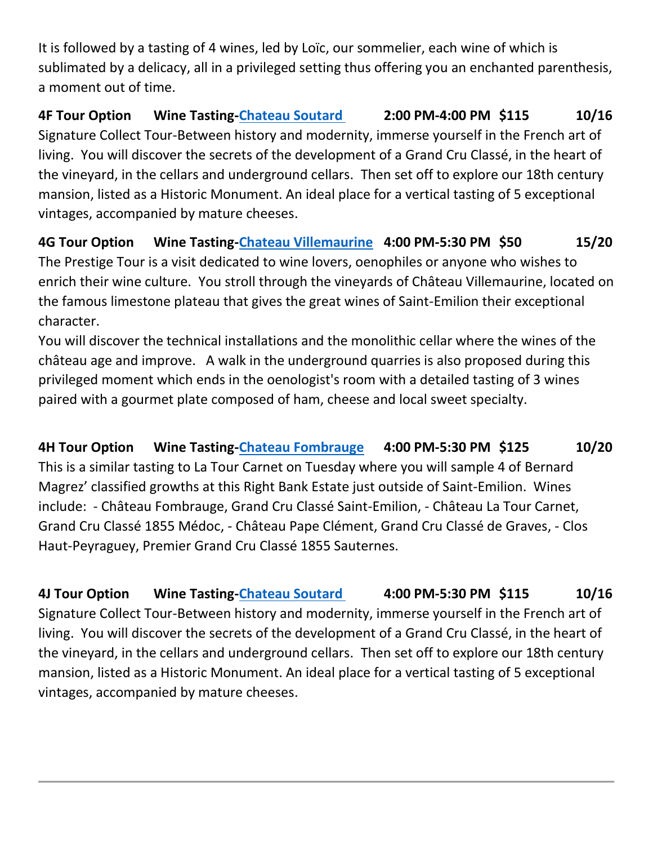It is followed by a tasting of 4 wines, led by Loïc, our sommelier, each wine of which is sublimated by a delicacy, all in a privileged setting thus offering you an enchanted parenthesis, a moment out of time.

**4F Tour Option Wine Tasting[-Chateau Soutard](http://www.chateau-soutard.com/?AspxAutoDetectCookieSupport=1) 2:00 PM-4:00 PM \$115 10/16** Signature Collect Tour-Between history and modernity, immerse yourself in the French art of living. You will discover the secrets of the development of a Grand Cru Classé, in the heart of the vineyard, in the cellars and underground cellars. Then set off to explore our 18th century mansion, listed as a Historic Monument. An ideal place for a vertical tasting of 5 exceptional vintages, accompanied by mature cheeses.

**4G Tour Option Wine Tasting[-Chateau Villemaurine](https://www.villemaurine.com/index.php/en/) 4:00 PM-5:30 PM \$50 15/20** The Prestige Tour is a visit dedicated to wine lovers, oenophiles or anyone who wishes to enrich their wine culture. You stroll through the vineyards of Château Villemaurine, located on the famous limestone plateau that gives the great wines of Saint-Emilion their exceptional character.

You will discover the technical installations and the monolithic cellar where the wines of the château age and improve. A walk in the underground quarries is also proposed during this privileged moment which ends in the oenologist's room with a detailed tasting of 3 wines paired with a gourmet plate composed of ham, cheese and local sweet specialty.

**4H Tour Option Wine Tasting[-Chateau Fombrauge](https://bernard-magrez.com/en/chateau-fombrauge-grand-cru-classe-de-saint-emilion/) 4:00 PM-5:30 PM \$125 10/20** This is a similar tasting to La Tour Carnet on Tuesday where you will sample 4 of Bernard Magrez' classified growths at this Right Bank Estate just outside of Saint-Emilion. Wines include: - Château Fombrauge, Grand Cru Classé Saint-Emilion, - Château La Tour Carnet, Grand Cru Classé 1855 Médoc, - Château Pape Clément, Grand Cru Classé de Graves, - Clos Haut-Peyraguey, Premier Grand Cru Classé 1855 Sauternes.

**4J Tour Option Wine Tasting[-Chateau Soutard](http://www.chateau-soutard.com/?AspxAutoDetectCookieSupport=1) 4:00 PM-5:30 PM \$115 10/16** Signature Collect Tour-Between history and modernity, immerse yourself in the French art of living. You will discover the secrets of the development of a Grand Cru Classé, in the heart of the vineyard, in the cellars and underground cellars. Then set off to explore our 18th century mansion, listed as a Historic Monument. An ideal place for a vertical tasting of 5 exceptional vintages, accompanied by mature cheeses.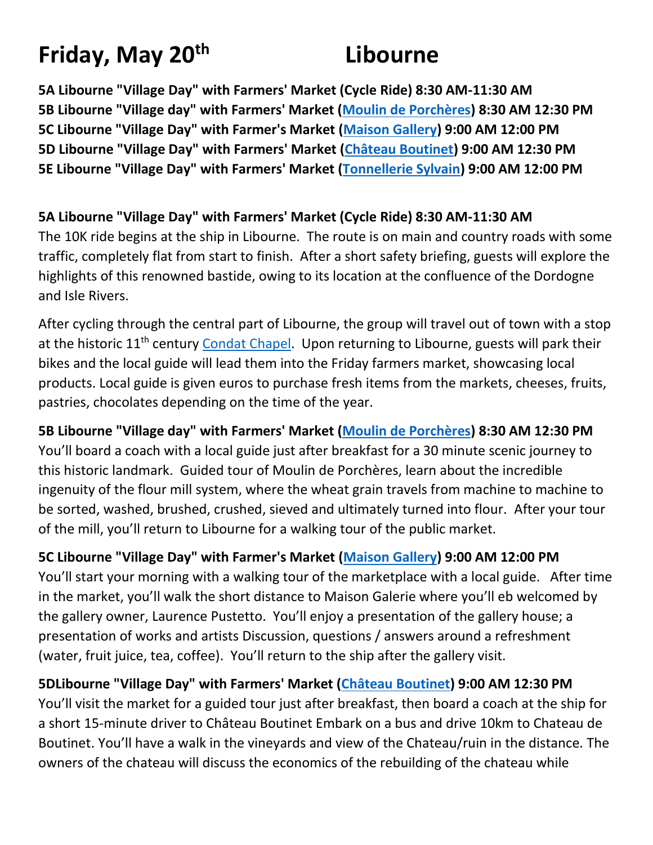# **Friday, May 20th Libourne**

**5A Libourne "Village Day" with Farmers' Market (Cycle Ride) 8:30 AM-11:30 AM 5B Libourne "Village day" with Farmers' Market [\(Moulin de Porchères\)](https://moulindeporcheres.jimdofree.com/) 8:30 AM 12:30 PM 5C Libourne "Village Day" with Farmer's Market [\(Maison Gallery\)](https://www.maisongalerie-lp.fr/la-maison-galerie) 9:00 AM 12:00 PM 5D Libourne "Village Day" with Farmers' Market [\(Château Boutinet\)](https://www.chateauboutinet.fr/) 9:00 AM 12:30 PM 5E Libourne "Village Day" with Farmers' Market [\(Tonnellerie Sylvain\)](https://www.tonnellerie-sylvain.fr/en/home/) 9:00 AM 12:00 PM** 

### **5A Libourne "Village Day" with Farmers' Market (Cycle Ride) 8:30 AM-11:30 AM**

The 10K ride begins at the ship in Libourne. The route is on main and country roads with some traffic, completely flat from start to finish. After a short safety briefing, guests will explore the highlights of this renowned bastide, owing to its location at the confluence of the Dordogne and Isle Rivers.

After cycling through the central part of Libourne, the group will travel out of town with a stop at the historic 11<sup>th</sup> century [Condat Chapel.](https://www.chapelledecondat.fr/index.php?option=com_content&view=featured&Itemid=101) Upon returning to Libourne, guests will park their bikes and the local guide will lead them into the Friday farmers market, showcasing local products. Local guide is given euros to purchase fresh items from the markets, cheeses, fruits, pastries, chocolates depending on the time of the year.

**5B Libourne "Village day" with Farmers' Market [\(Moulin de Porchères\)](https://moulindeporcheres.jimdofree.com/) 8:30 AM 12:30 PM** You'll board a coach with a local guide just after breakfast for a 30 minute scenic journey to this historic landmark. Guided tour of Moulin de Porchères, learn about the incredible ingenuity of the flour mill system, where the wheat grain travels from machine to machine to be sorted, washed, brushed, crushed, sieved and ultimately turned into flour. After your tour of the mill, you'll return to Libourne for a walking tour of the public market.

**5C Libourne "Village Day" with Farmer's Market [\(Maison Gallery\)](https://www.maisongalerie-lp.fr/la-maison-galerie) 9:00 AM 12:00 PM** You'll start your morning with a walking tour of the marketplace with a local guide. After time in the market, you'll walk the short distance to Maison Galerie where you'll eb welcomed by the gallery owner, Laurence Pustetto. You'll enjoy a presentation of the gallery house; a presentation of works and artists Discussion, questions / answers around a refreshment (water, fruit juice, tea, coffee). You'll return to the ship after the gallery visit.

**5DLibourne "Village Day" with Farmers' Market [\(Château Boutinet\)](https://www.chateauboutinet.fr/) 9:00 AM 12:30 PM**  You'll visit the market for a guided tour just after breakfast, then board a coach at the ship for a short 15-minute driver to Château Boutinet Embark on a bus and drive 10km to Chateau de Boutinet. You'll have a walk in the vineyards and view of the Chateau/ruin in the distance. The owners of the chateau will discuss the economics of the rebuilding of the chateau while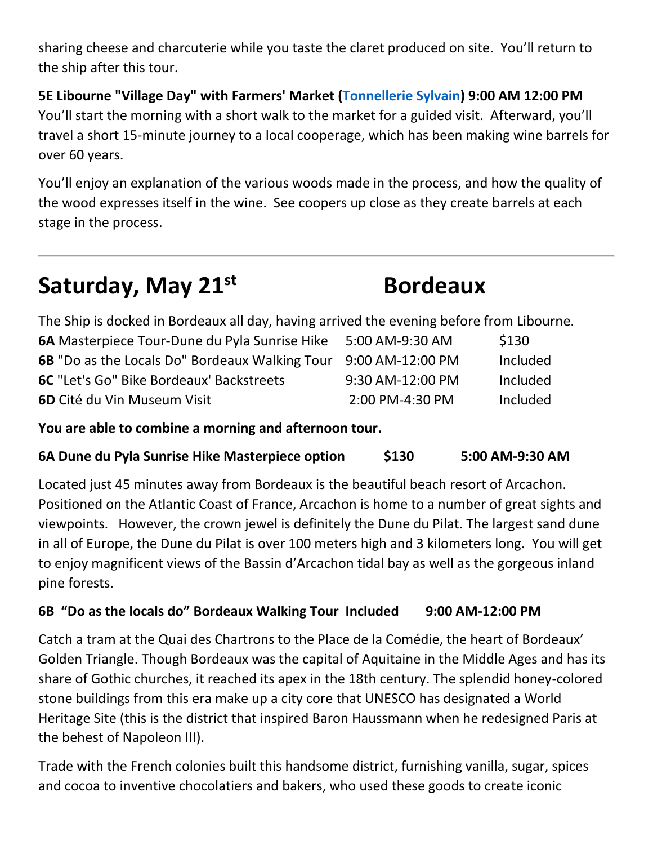sharing cheese and charcuterie while you taste the claret produced on site. You'll return to the ship after this tour.

**5E Libourne "Village Day" with Farmers' Market [\(Tonnellerie Sylvain\)](https://www.tonnellerie-sylvain.fr/en/home/) 9:00 AM 12:00 PM**  You'll start the morning with a short walk to the market for a guided visit. Afterward, you'll travel a short 15-minute journey to a local cooperage, which has been making wine barrels for over 60 years.

You'll enjoy an explanation of the various woods made in the process, and how the quality of the wood expresses itself in the wine. See coopers up close as they create barrels at each stage in the process.

# **Saturday, May 21st Bordeaux**

The Ship is docked in Bordeaux all day, having arrived the evening before from Libourne.

| <b>6A</b> Masterpiece Tour-Dune du Pyla Sunrise Hike  | 5:00 AM-9:30 AM  | \$130    |
|-------------------------------------------------------|------------------|----------|
| <b>6B</b> "Do as the Locals Do" Bordeaux Walking Tour | 9:00 AM-12:00 PM | Included |
| <b>6C</b> "Let's Go" Bike Bordeaux' Backstreets       | 9:30 AM-12:00 PM | Included |
| <b>6D</b> Cité du Vin Museum Visit                    | 2:00 PM-4:30 PM  | Included |

**You are able to combine a morning and afternoon tour.**

## **6A Dune du Pyla Sunrise Hike Masterpiece option \$130 5:00 AM-9:30 AM**

Located just 45 minutes away from Bordeaux is the beautiful beach resort of Arcachon. Positioned on the Atlantic Coast of France, Arcachon is home to a number of great sights and viewpoints. However, the crown jewel is definitely the Dune du Pilat. The largest sand dune in all of Europe, the Dune du Pilat is over 100 meters high and 3 kilometers long. You will get to enjoy magnificent views of the Bassin d'Arcachon tidal bay as well as the gorgeous inland pine forests.

## **6B "Do as the locals do" Bordeaux Walking Tour Included 9:00 AM-12:00 PM**

Catch a tram at the Quai des Chartrons to the Place de la Comédie, the heart of Bordeaux' Golden Triangle. Though Bordeaux was the capital of Aquitaine in the Middle Ages and has its share of Gothic churches, it reached its apex in the 18th century. The splendid honey-colored stone buildings from this era make up a city core that UNESCO has designated a World Heritage Site (this is the district that inspired Baron Haussmann when he redesigned Paris at the behest of Napoleon III).

Trade with the French colonies built this handsome district, furnishing vanilla, sugar, spices and cocoa to inventive chocolatiers and bakers, who used these goods to create iconic